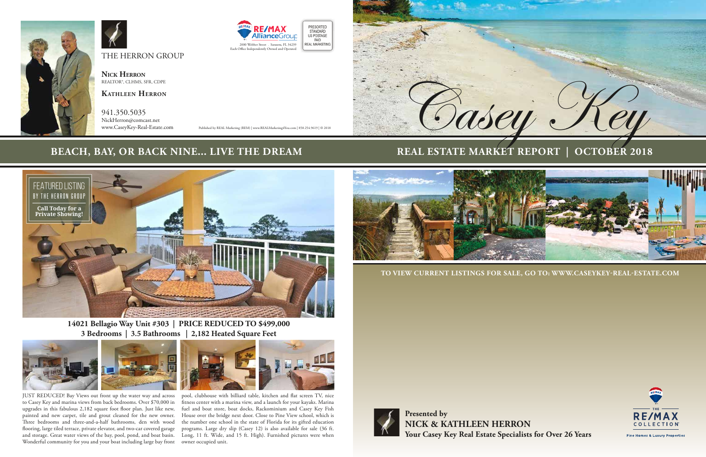**Presented by NICK & KATHLEEN HERRON Your Casey Key Real Estate Specialists for Over 26 Years**

**TO VIEW CURRENT LISTINGS FOR SALE, GO TO: WWW.CASEYKEY-REAL-ESTATE.COM** 



941.350.5035 NickHerron@comcast.net<br>www.CaseyKey-Real-Estate.com









Fine Homes & Luxury Properties





**Nick Herron** REALTOR®, CLHMS, SFR, CDPE

**Kathleen Herron**



Published by REAL Marketing (REM) | www.REALMarketing4You.com | 858.254.9619 | © 2018

## **BEACH, BAY, OR BACK NINE... LIVE THE DREAM**



**14021 Bellagio Way Unit #303 | PRICE REDUCED TO \$499,000 3 Bedrooms | 3.5 Bathrooms | 2,182 Heated Square Feet**

JUST REDUCED! Bay Views out front up the water way and across to Casey Key and marina views from back bedrooms. Over \$70,000 in upgrades in this fabulous 2,182 square foot floor plan. Just like new, painted and new carpet, tile and grout cleaned for the new owner. Three bedrooms and three-and-a-half bathrooms, den with wood flooring, large tiled terrace, private elevator, and two-car covered garage and storage. Great water views of the bay, pool, pond, and boat basin. Wonderful community for you and your boat including large bay front owner occupied unit.



pool, clubhouse with billiard table, kitchen and flat screen TV, nice fitness center with a marina view, and a launch for your kayaks. Marina fuel and boat store, boat docks, Rackominium and Casey Key Fish House over the bridge next door. Close to Pine View school, which is the number one school in the state of Florida for its gifted education programs. Large dry slip (Casey 12) is also available for sale (36 ft. Long, 11 ft. Wide, and 15 ft. High). Furnished pictures were when